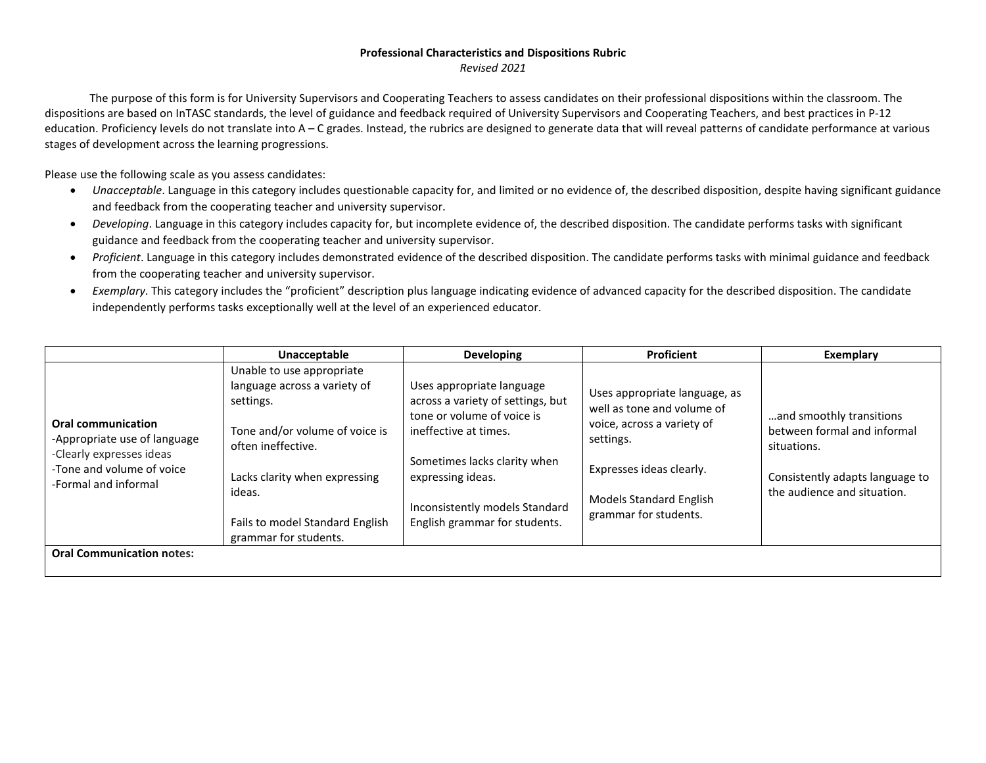## **Professional Characteristics and Dispositions Rubric**

*Revised 2021*

The purpose of this form is for University Supervisors and Cooperating Teachers to assess candidates on their professional dispositions within the classroom. The dispositions are based on InTASC standards, the level of guidance and feedback required of University Supervisors and Cooperating Teachers, and best practices in P-12 education. Proficiency levels do not translate into A – C grades. Instead, the rubrics are designed to generate data that will reveal patterns of candidate performance at various stages of development across the learning progressions.

Please use the following scale as you assess candidates:

- *Unacceptable*. Language in this category includes questionable capacity for, and limited or no evidence of, the described disposition, despite having significant guidance and feedback from the cooperating teacher and university supervisor.
- *Developing*. Language in this category includes capacity for, but incomplete evidence of, the described disposition. The candidate performs tasks with significant guidance and feedback from the cooperating teacher and university supervisor.
- *Proficient*. Language in this category includes demonstrated evidence of the described disposition. The candidate performs tasks with minimal guidance and feedback from the cooperating teacher and university supervisor.
- *Exemplary*. This category includes the "proficient" description plus language indicating evidence of advanced capacity for the described disposition. The candidate independently performs tasks exceptionally well at the level of an experienced educator.

|                                                                                                                                            | Unacceptable                                                                                                                                                                                                                          | <b>Developing</b>                                                                                                                                                                                                                             | Proficient                                                                                                                                                                                    | Exemplary                                                                                                                                |
|--------------------------------------------------------------------------------------------------------------------------------------------|---------------------------------------------------------------------------------------------------------------------------------------------------------------------------------------------------------------------------------------|-----------------------------------------------------------------------------------------------------------------------------------------------------------------------------------------------------------------------------------------------|-----------------------------------------------------------------------------------------------------------------------------------------------------------------------------------------------|------------------------------------------------------------------------------------------------------------------------------------------|
| <b>Oral communication</b><br>-Appropriate use of language<br>-Clearly expresses ideas<br>-Tone and volume of voice<br>-Formal and informal | Unable to use appropriate<br>language across a variety of<br>settings.<br>Tone and/or volume of voice is<br>often ineffective.<br>Lacks clarity when expressing<br>ideas.<br>Fails to model Standard English<br>grammar for students. | Uses appropriate language<br>across a variety of settings, but<br>tone or volume of voice is<br>ineffective at times.<br>Sometimes lacks clarity when<br>expressing ideas.<br>Inconsistently models Standard<br>English grammar for students. | Uses appropriate language, as<br>well as tone and volume of<br>voice, across a variety of<br>settings.<br>Expresses ideas clearly.<br><b>Models Standard English</b><br>grammar for students. | and smoothly transitions<br>between formal and informal<br>situations.<br>Consistently adapts language to<br>the audience and situation. |
| <b>Oral Communication notes:</b>                                                                                                           |                                                                                                                                                                                                                                       |                                                                                                                                                                                                                                               |                                                                                                                                                                                               |                                                                                                                                          |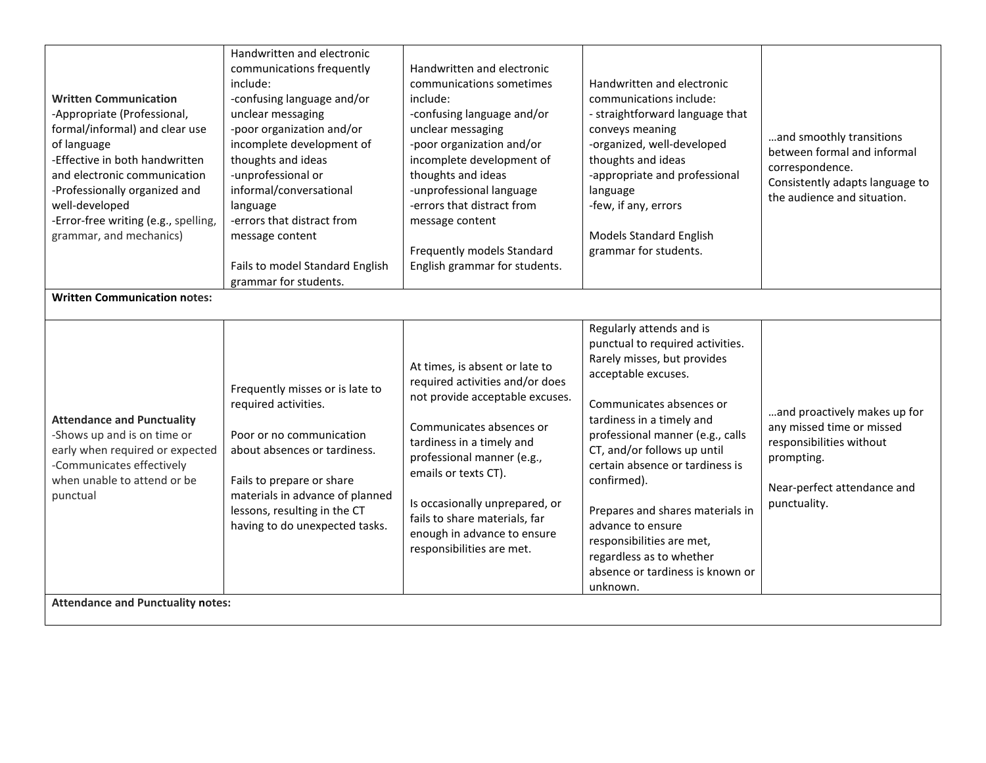| <b>Written Communication</b><br>-Appropriate (Professional,<br>formal/informal) and clear use<br>of language<br>-Effective in both handwritten<br>and electronic communication<br>-Professionally organized and<br>well-developed<br>-Error-free writing (e.g., spelling,<br>grammar, and mechanics)<br><b>Written Communication notes:</b> | Handwritten and electronic<br>communications frequently<br>include:<br>-confusing language and/or<br>unclear messaging<br>-poor organization and/or<br>incomplete development of<br>thoughts and ideas<br>-unprofessional or<br>informal/conversational<br>language<br>-errors that distract from<br>message content<br>Fails to model Standard English<br>grammar for students. | Handwritten and electronic<br>communications sometimes<br>include:<br>-confusing language and/or<br>unclear messaging<br>-poor organization and/or<br>incomplete development of<br>thoughts and ideas<br>-unprofessional language<br>-errors that distract from<br>message content<br>Frequently models Standard<br>English grammar for students.  | Handwritten and electronic<br>communications include:<br>- straightforward language that<br>conveys meaning<br>-organized, well-developed<br>thoughts and ideas<br>-appropriate and professional<br>language<br>-few, if any, errors<br><b>Models Standard English</b><br>grammar for students.                                                                                                                                                                    | and smoothly transitions<br>between formal and informal<br>correspondence.<br>Consistently adapts language to<br>the audience and situation.       |
|---------------------------------------------------------------------------------------------------------------------------------------------------------------------------------------------------------------------------------------------------------------------------------------------------------------------------------------------|----------------------------------------------------------------------------------------------------------------------------------------------------------------------------------------------------------------------------------------------------------------------------------------------------------------------------------------------------------------------------------|----------------------------------------------------------------------------------------------------------------------------------------------------------------------------------------------------------------------------------------------------------------------------------------------------------------------------------------------------|--------------------------------------------------------------------------------------------------------------------------------------------------------------------------------------------------------------------------------------------------------------------------------------------------------------------------------------------------------------------------------------------------------------------------------------------------------------------|----------------------------------------------------------------------------------------------------------------------------------------------------|
|                                                                                                                                                                                                                                                                                                                                             |                                                                                                                                                                                                                                                                                                                                                                                  |                                                                                                                                                                                                                                                                                                                                                    |                                                                                                                                                                                                                                                                                                                                                                                                                                                                    |                                                                                                                                                    |
| <b>Attendance and Punctuality</b><br>-Shows up and is on time or<br>early when required or expected<br>-Communicates effectively<br>when unable to attend or be<br>punctual<br><b>Attendance and Punctuality notes:</b>                                                                                                                     | Frequently misses or is late to<br>required activities.<br>Poor or no communication<br>about absences or tardiness.<br>Fails to prepare or share<br>materials in advance of planned<br>lessons, resulting in the CT<br>having to do unexpected tasks.                                                                                                                            | At times, is absent or late to<br>required activities and/or does<br>not provide acceptable excuses.<br>Communicates absences or<br>tardiness in a timely and<br>professional manner (e.g.,<br>emails or texts CT).<br>Is occasionally unprepared, or<br>fails to share materials, far<br>enough in advance to ensure<br>responsibilities are met. | Regularly attends and is<br>punctual to required activities.<br>Rarely misses, but provides<br>acceptable excuses.<br>Communicates absences or<br>tardiness in a timely and<br>professional manner (e.g., calls<br>CT, and/or follows up until<br>certain absence or tardiness is<br>confirmed).<br>Prepares and shares materials in<br>advance to ensure<br>responsibilities are met,<br>regardless as to whether<br>absence or tardiness is known or<br>unknown. | and proactively makes up for<br>any missed time or missed<br>responsibilities without<br>prompting.<br>Near-perfect attendance and<br>punctuality. |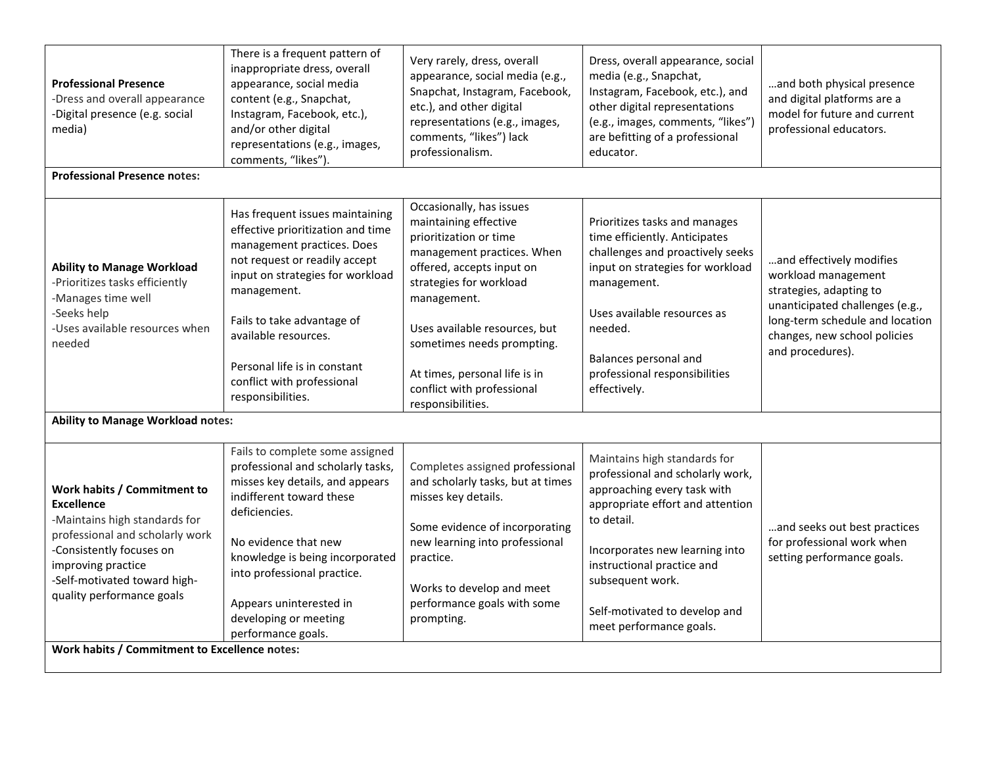| <b>Professional Presence</b><br>-Dress and overall appearance<br>-Digital presence (e.g. social<br>media)                                                                                                                           | There is a frequent pattern of<br>inappropriate dress, overall<br>appearance, social media<br>content (e.g., Snapchat,<br>Instagram, Facebook, etc.),<br>and/or other digital<br>representations (e.g., images,<br>comments, "likes").                                                                                          | Very rarely, dress, overall<br>appearance, social media (e.g.,<br>Snapchat, Instagram, Facebook,<br>etc.), and other digital<br>representations (e.g., images,<br>comments, "likes") lack<br>professionalism.                                                                                                                       | Dress, overall appearance, social<br>media (e.g., Snapchat,<br>Instagram, Facebook, etc.), and<br>other digital representations<br>(e.g., images, comments, "likes")<br>are befitting of a professional<br>educator.                                                                              | and both physical presence<br>and digital platforms are a<br>model for future and current<br>professional educators.                                                                                 |
|-------------------------------------------------------------------------------------------------------------------------------------------------------------------------------------------------------------------------------------|---------------------------------------------------------------------------------------------------------------------------------------------------------------------------------------------------------------------------------------------------------------------------------------------------------------------------------|-------------------------------------------------------------------------------------------------------------------------------------------------------------------------------------------------------------------------------------------------------------------------------------------------------------------------------------|---------------------------------------------------------------------------------------------------------------------------------------------------------------------------------------------------------------------------------------------------------------------------------------------------|------------------------------------------------------------------------------------------------------------------------------------------------------------------------------------------------------|
| <b>Professional Presence notes:</b>                                                                                                                                                                                                 |                                                                                                                                                                                                                                                                                                                                 |                                                                                                                                                                                                                                                                                                                                     |                                                                                                                                                                                                                                                                                                   |                                                                                                                                                                                                      |
| <b>Ability to Manage Workload</b><br>-Prioritizes tasks efficiently<br>-Manages time well<br>-Seeks help<br>-Uses available resources when<br>needed                                                                                | Has frequent issues maintaining<br>effective prioritization and time<br>management practices. Does<br>not request or readily accept<br>input on strategies for workload<br>management.<br>Fails to take advantage of<br>available resources.<br>Personal life is in constant<br>conflict with professional<br>responsibilities. | Occasionally, has issues<br>maintaining effective<br>prioritization or time<br>management practices. When<br>offered, accepts input on<br>strategies for workload<br>management.<br>Uses available resources, but<br>sometimes needs prompting.<br>At times, personal life is in<br>conflict with professional<br>responsibilities. | Prioritizes tasks and manages<br>time efficiently. Anticipates<br>challenges and proactively seeks<br>input on strategies for workload<br>management.<br>Uses available resources as<br>needed.<br>Balances personal and<br>professional responsibilities<br>effectively.                         | and effectively modifies<br>workload management<br>strategies, adapting to<br>unanticipated challenges (e.g.,<br>long-term schedule and location<br>changes, new school policies<br>and procedures). |
| <b>Ability to Manage Workload notes:</b>                                                                                                                                                                                            |                                                                                                                                                                                                                                                                                                                                 |                                                                                                                                                                                                                                                                                                                                     |                                                                                                                                                                                                                                                                                                   |                                                                                                                                                                                                      |
| Work habits / Commitment to<br><b>Excellence</b><br>-Maintains high standards for<br>professional and scholarly work<br>-Consistently focuses on<br>improving practice<br>-Self-motivated toward high-<br>quality performance goals | Fails to complete some assigned<br>professional and scholarly tasks,<br>misses key details, and appears<br>indifferent toward these<br>deficiencies.<br>No evidence that new<br>knowledge is being incorporated<br>into professional practice.<br>Appears uninterested in<br>developing or meeting<br>performance goals.        | Completes assigned professional<br>and scholarly tasks, but at times<br>misses key details.<br>Some evidence of incorporating<br>new learning into professional<br>practice.<br>Works to develop and meet<br>performance goals with some<br>prompting.                                                                              | Maintains high standards for<br>professional and scholarly work,<br>approaching every task with<br>appropriate effort and attention<br>to detail.<br>Incorporates new learning into<br>instructional practice and<br>subsequent work.<br>Self-motivated to develop and<br>meet performance goals. | and seeks out best practices<br>for professional work when<br>setting performance goals.                                                                                                             |
| Work habits / Commitment to Excellence notes:                                                                                                                                                                                       |                                                                                                                                                                                                                                                                                                                                 |                                                                                                                                                                                                                                                                                                                                     |                                                                                                                                                                                                                                                                                                   |                                                                                                                                                                                                      |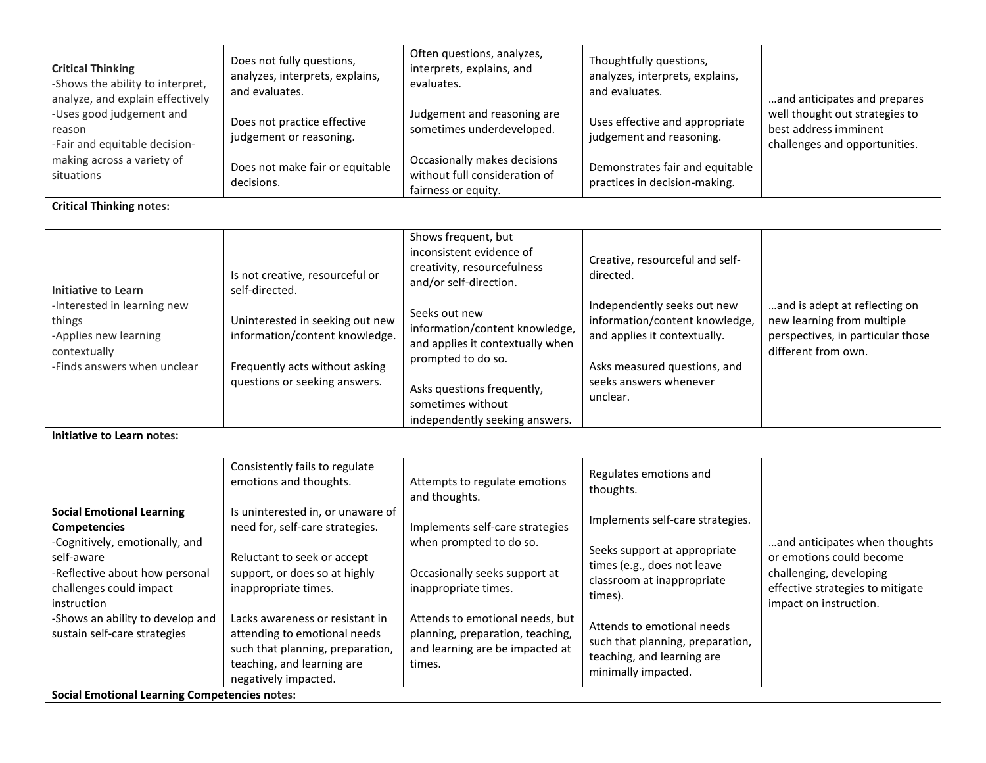| <b>Critical Thinking</b><br>-Shows the ability to interpret,<br>analyze, and explain effectively<br>-Uses good judgement and<br>reason<br>-Fair and equitable decision-<br>making across a variety of<br>situations                                     | Does not fully questions,<br>analyzes, interprets, explains,<br>and evaluates.<br>Does not practice effective<br>judgement or reasoning.<br>Does not make fair or equitable<br>decisions.                                                                                                                                       | Often questions, analyzes,<br>interprets, explains, and<br>evaluates.<br>Judgement and reasoning are<br>sometimes underdeveloped.<br>Occasionally makes decisions<br>without full consideration of<br>fairness or equity.                                                                                  | Thoughtfully questions,<br>analyzes, interprets, explains,<br>and evaluates.<br>Uses effective and appropriate<br>judgement and reasoning.<br>Demonstrates fair and equitable<br>practices in decision-making.                                                                  | and anticipates and prepares<br>well thought out strategies to<br>best address imminent<br>challenges and opportunities.                           |
|---------------------------------------------------------------------------------------------------------------------------------------------------------------------------------------------------------------------------------------------------------|---------------------------------------------------------------------------------------------------------------------------------------------------------------------------------------------------------------------------------------------------------------------------------------------------------------------------------|------------------------------------------------------------------------------------------------------------------------------------------------------------------------------------------------------------------------------------------------------------------------------------------------------------|---------------------------------------------------------------------------------------------------------------------------------------------------------------------------------------------------------------------------------------------------------------------------------|----------------------------------------------------------------------------------------------------------------------------------------------------|
| <b>Critical Thinking notes:</b>                                                                                                                                                                                                                         |                                                                                                                                                                                                                                                                                                                                 |                                                                                                                                                                                                                                                                                                            |                                                                                                                                                                                                                                                                                 |                                                                                                                                                    |
| <b>Initiative to Learn</b><br>-Interested in learning new<br>things<br>-Applies new learning<br>contextually<br>-Finds answers when unclear                                                                                                             | Is not creative, resourceful or<br>self-directed.<br>Uninterested in seeking out new<br>information/content knowledge.<br>Frequently acts without asking<br>questions or seeking answers.                                                                                                                                       | Shows frequent, but<br>inconsistent evidence of<br>creativity, resourcefulness<br>and/or self-direction.<br>Seeks out new<br>information/content knowledge,<br>and applies it contextually when<br>prompted to do so.<br>Asks questions frequently,<br>sometimes without<br>independently seeking answers. | Creative, resourceful and self-<br>directed.<br>Independently seeks out new<br>information/content knowledge,<br>and applies it contextually.<br>Asks measured questions, and<br>seeks answers whenever<br>unclear.                                                             | and is adept at reflecting on<br>new learning from multiple<br>perspectives, in particular those<br>different from own.                            |
| Initiative to Learn notes:                                                                                                                                                                                                                              |                                                                                                                                                                                                                                                                                                                                 |                                                                                                                                                                                                                                                                                                            |                                                                                                                                                                                                                                                                                 |                                                                                                                                                    |
| <b>Social Emotional Learning</b><br><b>Competencies</b><br>-Cognitively, emotionally, and<br>self-aware<br>-Reflective about how personal<br>challenges could impact<br>instruction<br>-Shows an ability to develop and<br>sustain self-care strategies | Consistently fails to regulate<br>emotions and thoughts.<br>Is uninterested in, or unaware of<br>need for, self-care strategies.<br>Reluctant to seek or accept<br>support, or does so at highly<br>inappropriate times.<br>Lacks awareness or resistant in<br>attending to emotional needs<br>such that planning, preparation, | Attempts to regulate emotions<br>and thoughts.<br>Implements self-care strategies<br>when prompted to do so.<br>Occasionally seeks support at<br>inappropriate times.<br>Attends to emotional needs, but<br>planning, preparation, teaching,<br>and learning are be impacted at                            | Regulates emotions and<br>thoughts.<br>Implements self-care strategies.<br>Seeks support at appropriate<br>times (e.g., does not leave<br>classroom at inappropriate<br>times).<br>Attends to emotional needs<br>such that planning, preparation,<br>teaching, and learning are | and anticipates when thoughts<br>or emotions could become<br>challenging, developing<br>effective strategies to mitigate<br>impact on instruction. |
| <b>Social Emotional Learning Competencies notes:</b>                                                                                                                                                                                                    | teaching, and learning are<br>negatively impacted.                                                                                                                                                                                                                                                                              | times.                                                                                                                                                                                                                                                                                                     | minimally impacted.                                                                                                                                                                                                                                                             |                                                                                                                                                    |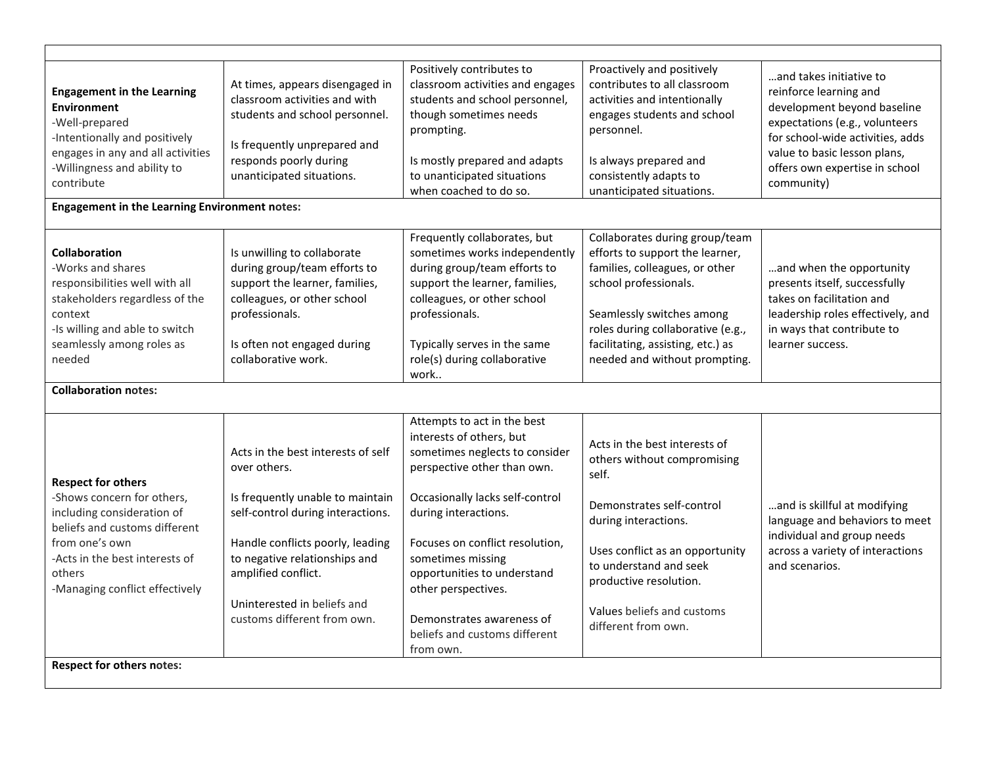| <b>Engagement in the Learning</b><br><b>Environment</b><br>-Well-prepared<br>-Intentionally and positively<br>engages in any and all activities<br>-Willingness and ability to<br>contribute                           | At times, appears disengaged in<br>classroom activities and with<br>students and school personnel.<br>Is frequently unprepared and<br>responds poorly during<br>unanticipated situations.                                                                                             | Positively contributes to<br>classroom activities and engages<br>students and school personnel,<br>though sometimes needs<br>prompting.<br>Is mostly prepared and adapts<br>to unanticipated situations<br>when coached to do so.                                                                                                                                            | Proactively and positively<br>contributes to all classroom<br>activities and intentionally<br>engages students and school<br>personnel.<br>Is always prepared and<br>consistently adapts to<br>unanticipated situations.                                               | and takes initiative to<br>reinforce learning and<br>development beyond baseline<br>expectations (e.g., volunteers<br>for school-wide activities, adds<br>value to basic lesson plans,<br>offers own expertise in school<br>community) |
|------------------------------------------------------------------------------------------------------------------------------------------------------------------------------------------------------------------------|---------------------------------------------------------------------------------------------------------------------------------------------------------------------------------------------------------------------------------------------------------------------------------------|------------------------------------------------------------------------------------------------------------------------------------------------------------------------------------------------------------------------------------------------------------------------------------------------------------------------------------------------------------------------------|------------------------------------------------------------------------------------------------------------------------------------------------------------------------------------------------------------------------------------------------------------------------|----------------------------------------------------------------------------------------------------------------------------------------------------------------------------------------------------------------------------------------|
| <b>Engagement in the Learning Environment notes:</b>                                                                                                                                                                   |                                                                                                                                                                                                                                                                                       |                                                                                                                                                                                                                                                                                                                                                                              |                                                                                                                                                                                                                                                                        |                                                                                                                                                                                                                                        |
| <b>Collaboration</b><br>-Works and shares<br>responsibilities well with all<br>stakeholders regardless of the<br>context<br>-Is willing and able to switch<br>seamlessly among roles as<br>needed                      | Is unwilling to collaborate<br>during group/team efforts to<br>support the learner, families,<br>colleagues, or other school<br>professionals.<br>Is often not engaged during<br>collaborative work.                                                                                  | Frequently collaborates, but<br>sometimes works independently<br>during group/team efforts to<br>support the learner, families,<br>colleagues, or other school<br>professionals.<br>Typically serves in the same<br>role(s) during collaborative<br>work                                                                                                                     | Collaborates during group/team<br>efforts to support the learner,<br>families, colleagues, or other<br>school professionals.<br>Seamlessly switches among<br>roles during collaborative (e.g.,<br>facilitating, assisting, etc.) as<br>needed and without prompting.   | and when the opportunity<br>presents itself, successfully<br>takes on facilitation and<br>leadership roles effectively, and<br>in ways that contribute to<br>learner success.                                                          |
| <b>Collaboration notes:</b>                                                                                                                                                                                            |                                                                                                                                                                                                                                                                                       |                                                                                                                                                                                                                                                                                                                                                                              |                                                                                                                                                                                                                                                                        |                                                                                                                                                                                                                                        |
| <b>Respect for others</b><br>-Shows concern for others,<br>including consideration of<br>beliefs and customs different<br>from one's own<br>-Acts in the best interests of<br>others<br>-Managing conflict effectively | Acts in the best interests of self<br>over others.<br>Is frequently unable to maintain<br>self-control during interactions.<br>Handle conflicts poorly, leading<br>to negative relationships and<br>amplified conflict.<br>Uninterested in beliefs and<br>customs different from own. | Attempts to act in the best<br>interests of others, but<br>sometimes neglects to consider<br>perspective other than own.<br>Occasionally lacks self-control<br>during interactions.<br>Focuses on conflict resolution,<br>sometimes missing<br>opportunities to understand<br>other perspectives.<br>Demonstrates awareness of<br>beliefs and customs different<br>from own. | Acts in the best interests of<br>others without compromising<br>self.<br>Demonstrates self-control<br>during interactions.<br>Uses conflict as an opportunity<br>to understand and seek<br>productive resolution.<br>Values beliefs and customs<br>different from own. | and is skillful at modifying<br>language and behaviors to meet<br>individual and group needs<br>across a variety of interactions<br>and scenarios.                                                                                     |
| <b>Respect for others notes:</b>                                                                                                                                                                                       |                                                                                                                                                                                                                                                                                       |                                                                                                                                                                                                                                                                                                                                                                              |                                                                                                                                                                                                                                                                        |                                                                                                                                                                                                                                        |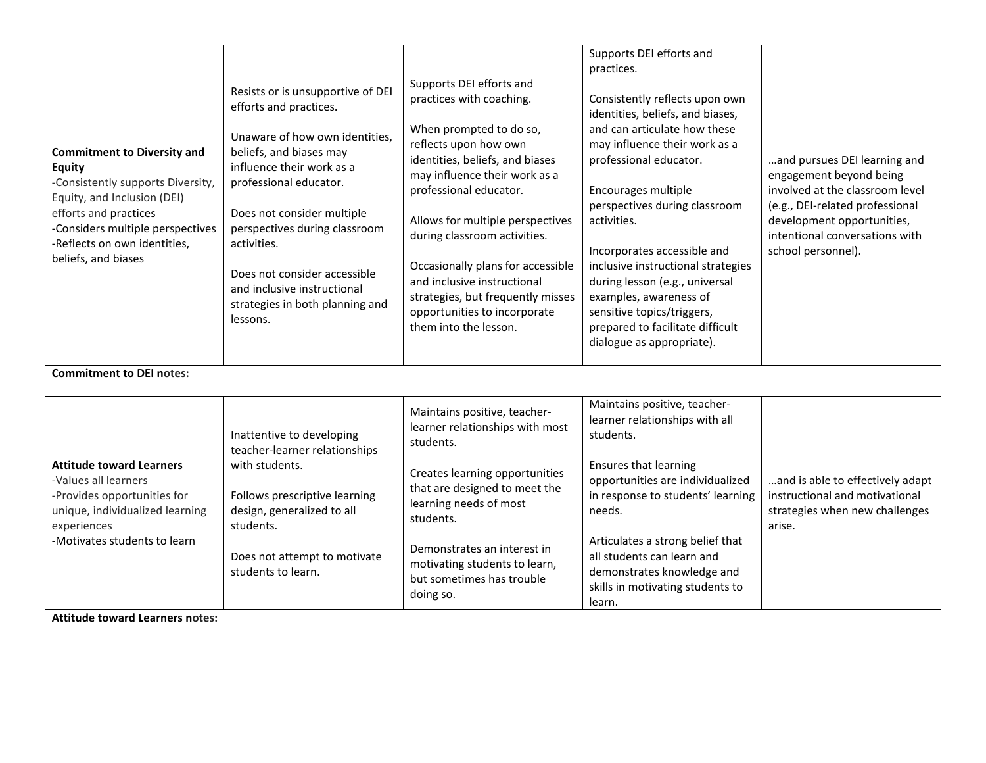|                                                                                                                                                                                                                                      |                                                                                                                                                                                                                                                                                                                                                                             |                                                                                                                                                                                                                                                                                                                                                                                                                                              | Supports DEI efforts and                                                                                                                                                                                                                                                                                                                                                                                                                                                           |                                                                                                                                                                                                                     |
|--------------------------------------------------------------------------------------------------------------------------------------------------------------------------------------------------------------------------------------|-----------------------------------------------------------------------------------------------------------------------------------------------------------------------------------------------------------------------------------------------------------------------------------------------------------------------------------------------------------------------------|----------------------------------------------------------------------------------------------------------------------------------------------------------------------------------------------------------------------------------------------------------------------------------------------------------------------------------------------------------------------------------------------------------------------------------------------|------------------------------------------------------------------------------------------------------------------------------------------------------------------------------------------------------------------------------------------------------------------------------------------------------------------------------------------------------------------------------------------------------------------------------------------------------------------------------------|---------------------------------------------------------------------------------------------------------------------------------------------------------------------------------------------------------------------|
| <b>Commitment to Diversity and</b><br>Equity<br>-Consistently supports Diversity,<br>Equity, and Inclusion (DEI)<br>efforts and practices<br>-Considers multiple perspectives<br>-Reflects on own identities,<br>beliefs, and biases | Resists or is unsupportive of DEI<br>efforts and practices.<br>Unaware of how own identities,<br>beliefs, and biases may<br>influence their work as a<br>professional educator.<br>Does not consider multiple<br>perspectives during classroom<br>activities.<br>Does not consider accessible<br>and inclusive instructional<br>strategies in both planning and<br>lessons. | Supports DEI efforts and<br>practices with coaching.<br>When prompted to do so,<br>reflects upon how own<br>identities, beliefs, and biases<br>may influence their work as a<br>professional educator.<br>Allows for multiple perspectives<br>during classroom activities.<br>Occasionally plans for accessible<br>and inclusive instructional<br>strategies, but frequently misses<br>opportunities to incorporate<br>them into the lesson. | practices.<br>Consistently reflects upon own<br>identities, beliefs, and biases,<br>and can articulate how these<br>may influence their work as a<br>professional educator.<br>Encourages multiple<br>perspectives during classroom<br>activities.<br>Incorporates accessible and<br>inclusive instructional strategies<br>during lesson (e.g., universal<br>examples, awareness of<br>sensitive topics/triggers,<br>prepared to facilitate difficult<br>dialogue as appropriate). | and pursues DEI learning and<br>engagement beyond being<br>involved at the classroom level<br>(e.g., DEI-related professional<br>development opportunities,<br>intentional conversations with<br>school personnel). |
| <b>Commitment to DEI notes:</b>                                                                                                                                                                                                      |                                                                                                                                                                                                                                                                                                                                                                             |                                                                                                                                                                                                                                                                                                                                                                                                                                              |                                                                                                                                                                                                                                                                                                                                                                                                                                                                                    |                                                                                                                                                                                                                     |
| <b>Attitude toward Learners</b><br>-Values all learners<br>-Provides opportunities for<br>unique, individualized learning<br>experiences<br>-Motivates students to learn                                                             | Inattentive to developing<br>teacher-learner relationships<br>with students.<br>Follows prescriptive learning<br>design, generalized to all<br>students.<br>Does not attempt to motivate<br>students to learn.                                                                                                                                                              | Maintains positive, teacher-<br>learner relationships with most<br>students.<br>Creates learning opportunities<br>that are designed to meet the<br>learning needs of most<br>students.<br>Demonstrates an interest in<br>motivating students to learn,<br>but sometimes has trouble<br>doing so.                                                                                                                                             | Maintains positive, teacher-<br>learner relationships with all<br>students.<br><b>Ensures that learning</b><br>opportunities are individualized<br>in response to students' learning<br>needs.<br>Articulates a strong belief that<br>all students can learn and<br>demonstrates knowledge and<br>skills in motivating students to<br>learn.                                                                                                                                       | and is able to effectively adapt<br>instructional and motivational<br>strategies when new challenges<br>arise.                                                                                                      |
| <b>Attitude toward Learners notes:</b>                                                                                                                                                                                               |                                                                                                                                                                                                                                                                                                                                                                             |                                                                                                                                                                                                                                                                                                                                                                                                                                              |                                                                                                                                                                                                                                                                                                                                                                                                                                                                                    |                                                                                                                                                                                                                     |